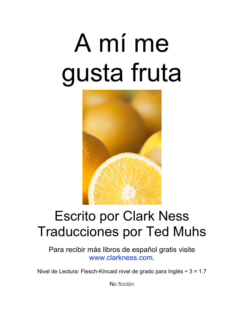# A mí me gusta fruta



#### Escrito por Clark Ness Traducciones por Ted Muhs

Para recibir más libros de español gratis visite [www.clarkness.com.](http://www.clarkness.com)

Nivel de Lectura: Flesch-Kincaid nivel de grado para Inglés ÷ 3 = 1.7

No ficción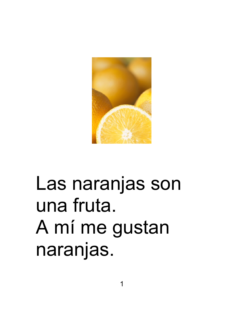

#### Las naranjas son una fruta. A mí me gustan naranjas.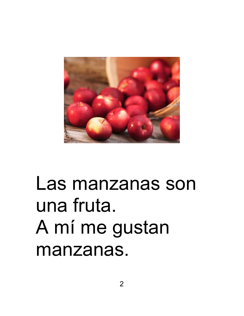

#### Las manzanas son una fruta. A mí me gustan manzanas.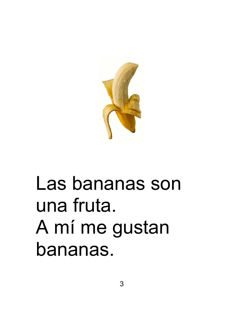

### Las bananas son una fruta. A mí me gustan bananas.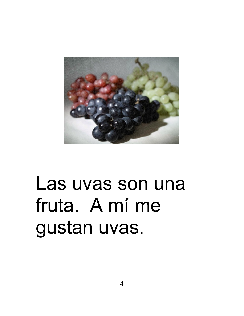

### Las uvas son una fruta. A mí me gustan uvas.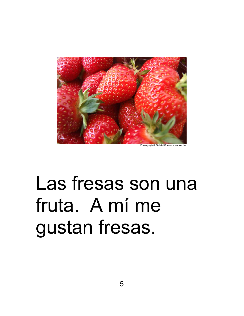

Photograph © Gabriel Currie - www.sxc.hu

# Las fresas son una fruta. A mí me gustan fresas.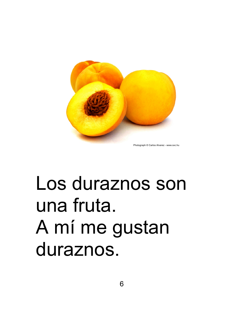

Photograph © Carlos Alvarez - www.sxc.hu

### Los duraznos son una fruta. A mí me gustan duraznos.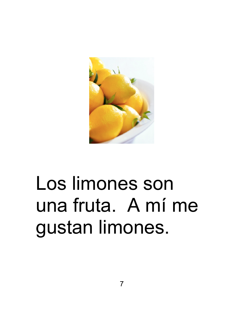

# Los limones son una fruta. A mí me gustan limones.